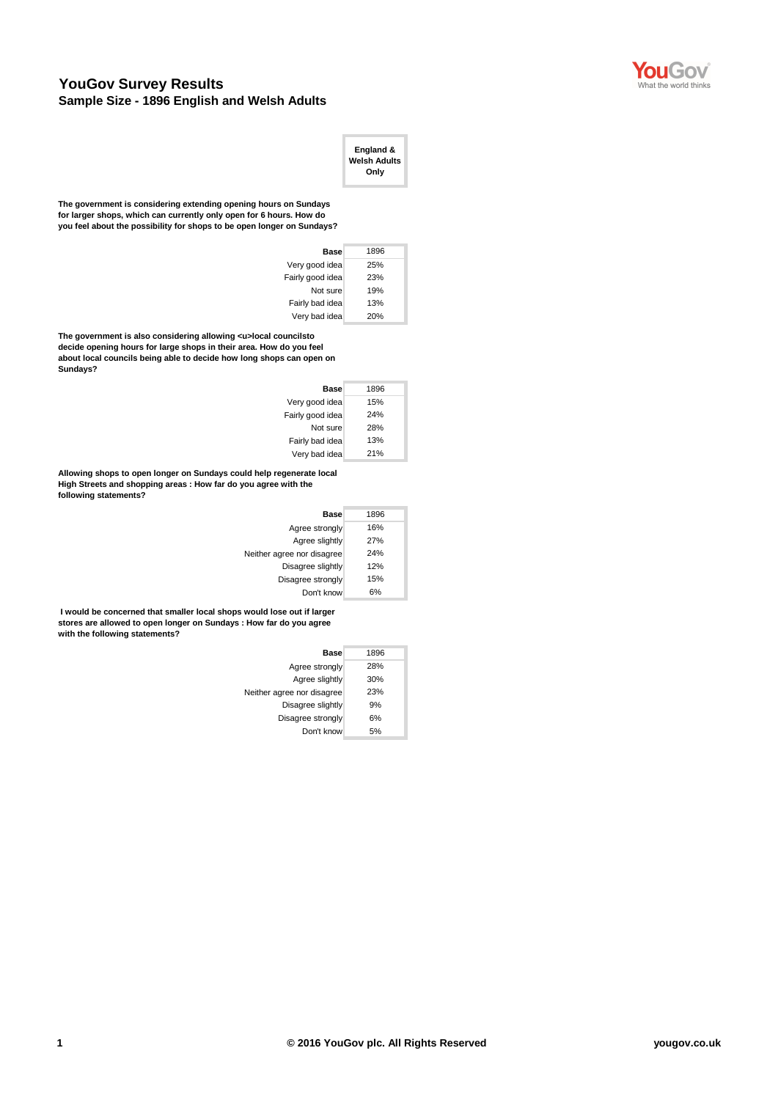

## **YouGov Survey Results Sample Size - 1896 English and Welsh Adults**

| England &<br><b>Welsh Adults</b><br>Only |
|------------------------------------------|
|------------------------------------------|

**The government is considering extending opening hours on Sundays for larger shops, which can currently only open for 6 hours. How do you feel about the possibility for shops to be open longer on Sundays?**

| Base             | 1896 |
|------------------|------|
| Very good idea   | 25%  |
| Fairly good idea | 23%  |
| Not sure         | 19%  |
| Fairly bad idea  | 13%  |
| Very bad idea    | 20%  |

The government is also considering allowing <u>local councilsto **decide opening hours for large shops in their area. How do you feel about local councils being able to decide how long shops can open on Sundays?**

| Base             | 1896 |
|------------------|------|
| Very good idea   | 15%  |
| Fairly good idea | 24%  |
| Not sure         | 28%  |
| Fairly bad idea  | 13%  |
| Very bad idea    | 21%  |

**Allowing shops to open longer on Sundays could help regenerate local High Streets and shopping areas : How far do you agree with the following statements?**

| <b>Base</b>                | 1896 |
|----------------------------|------|
| Agree strongly             | 16%  |
| Agree slightly             | 27%  |
| Neither agree nor disagree | 24%  |
| Disagree slightly          | 12%  |
| Disagree strongly          | 15%  |
| Don't know                 | 6%   |

 **I would be concerned that smaller local shops would lose out if larger stores are allowed to open longer on Sundays : How far do you agree with the following statements?**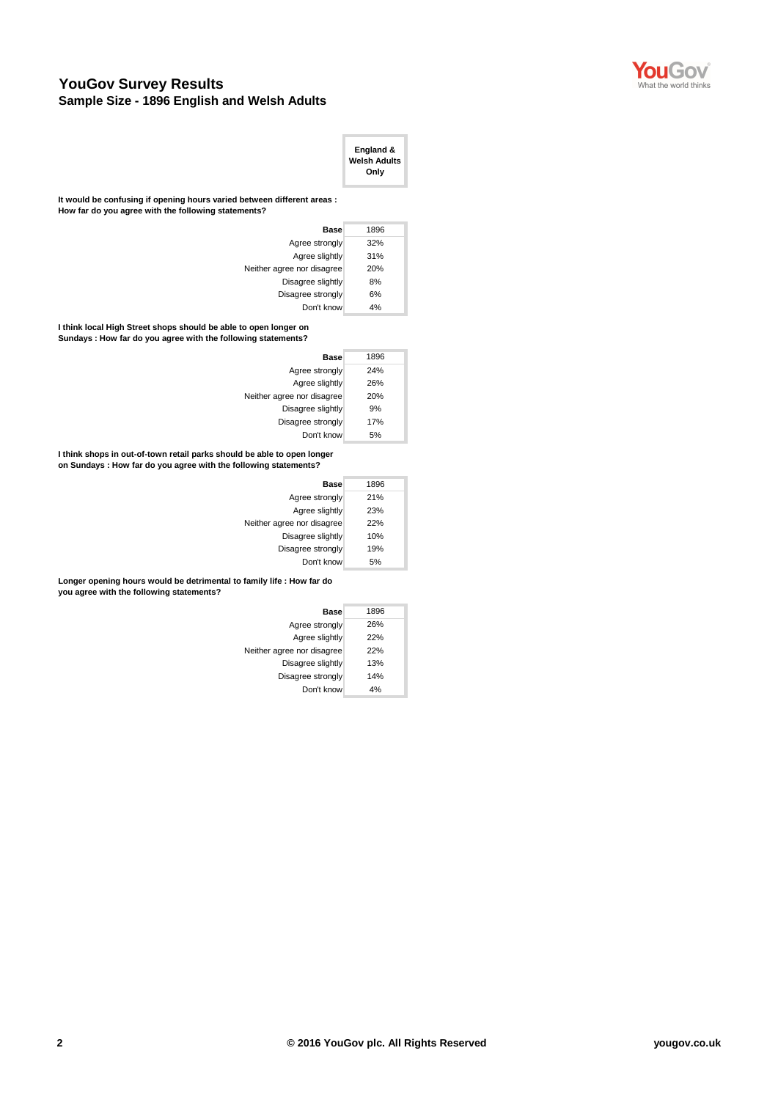

## **YouGov Survey Results Sample Size - 1896 English and Welsh Adults**

|                                                                                                                                  | England &<br><b>Welsh Adults</b><br>Only |
|----------------------------------------------------------------------------------------------------------------------------------|------------------------------------------|
| It would be confusing if opening hours varied between different areas :<br>How far do you agree with the following statements?   |                                          |
| <b>Base</b>                                                                                                                      | 1896                                     |
| Agree strongly                                                                                                                   | 32%                                      |
| Agree slightly                                                                                                                   | 31%                                      |
| Neither agree nor disagree                                                                                                       | 20%                                      |
| Disagree slightly                                                                                                                | 8%                                       |
| Disagree strongly                                                                                                                | 6%                                       |
| Don't know                                                                                                                       | 4%                                       |
| I think local High Street shops should be able to open longer on<br>Sundays: How far do you agree with the following statements? |                                          |
| <b>Base</b>                                                                                                                      | 1896                                     |
| Agree strongly                                                                                                                   | 24%                                      |

| Base                       | 1896 |
|----------------------------|------|
| Agree strongly             | 24%  |
| Agree slightly             | 26%  |
| Neither agree nor disagree | 20%  |
| Disagree slightly          | 9%   |
| Disagree strongly          | 17%  |
| Don't know                 | 5%   |

**I think shops in out-of-town retail parks should be able to open longer on Sundays : How far do you agree with the following statements?**

| Base                       | 1896 |
|----------------------------|------|
| Agree strongly             | 21%  |
| Agree slightly             | 23%  |
| Neither agree nor disagree | 22%  |
| Disagree slightly          | 10%  |
| Disagree strongly          | 19%  |
| Don't know                 | 5%   |
|                            |      |

**Longer opening hours would be detrimental to family life : How far do you agree with the following statements?**

| Base                       | 1896 |
|----------------------------|------|
| Agree strongly             | 26%  |
| Agree slightly             | 22%  |
| Neither agree nor disagree | 22%  |
| Disagree slightly          | 13%  |
| Disagree strongly          | 14%  |
| Don't know                 | 4%   |